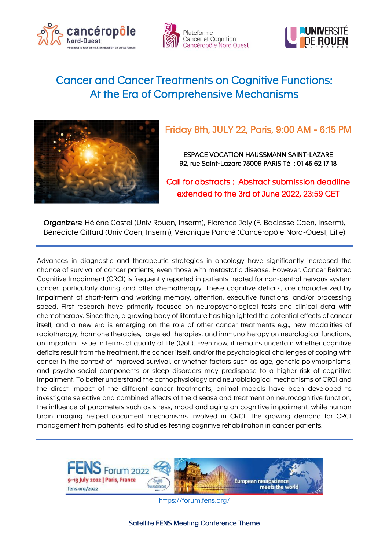





# Cancer and Cancer Treatments on Cognitive Functions: At the Era of Comprehensive Mechanisms



## Friday 8th, JULY 22, Paris, 9:00 AM - 6:15 PM

ESPACE VOCATION HAUSSMANN SAINT-LAZARE 92, rue Saint-Lazare 75009 PARIS Tél : 01 45 62 17 18

Call for abstracts : Abstract submission deadline extended to the 3rd of June 2022, 23:59 CET

Organizers: Hélène Castel (Univ Rouen, Inserm), Florence Joly (F. Baclesse Caen, Inserm), Bénédicte Giffard (Univ Caen, Inserm), Véronique Pancré (Cancéropôle Nord-Ouest, Lille)

Advances in diagnostic and therapeutic strategies in oncology have significantly increased the chance of survival of cancer patients, even those with metastatic disease. However, Cancer Related Cognitive Impairment (CRCI) is frequently reported in patients treated for non-central nervous system cancer, particularly during and after chemotherapy. These cognitive deficits, are characterized by impairment of short-term and working memory, attention, executive functions, and/or processing speed. First research have primarily focused on neuropsychological tests and clinical data with chemotherapy. Since then, a growing body of literature has highlighted the potential effects of cancer itself, and a new era is emerging on the role of other cancer treatments e.g., new modalities of radiotherapy, hormone therapies, targeted therapies, and immunotherapy on neurological functions, an important issue in terms of quality of life (QoL). Even now, it remains uncertain whether cognitive deficits result from the treatment, the cancer itself, and/or the psychological challenges of coping with cancer in the context of improved survival, or whether factors such as age, genetic polymorphisms, and psycho-social components or sleep disorders may predispose to a higher risk of cognitive impairment. To better understand the pathophysiology and neurobiological mechanisms of CRCI and the direct impact of the different cancer treatments, animal models have been developed to investigate selective and combined effects of the disease and treatment on neurocognitive function, the influence of parameters such as stress, mood and aging on cognitive impairment, while human brain imaging helped document mechanisms involved in CRCI. The growing demand for CRCI management from patients led to studies testing cognitive rehabilitation in cancer patients.

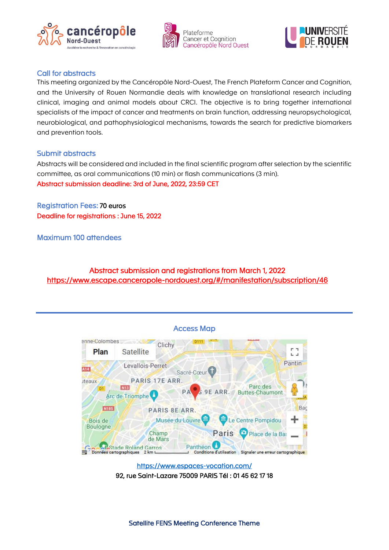





## Call for abstracts

This meeting organized by the Cancéropôle Nord-Ouest, The French Plateform Cancer and Cognition, and the University of Rouen Normandie deals with knowledge on translational research including clinical, imaging and animal models about CRCI. The objective is to bring together international specialists of the impact of cancer and treatments on brain function, addressing neuropsychological, neurobiological, and pathophysiological mechanisms, towards the search for predictive biomarkers and prevention tools.

### Submit abstracts

Abstracts will be considered and included in the final scientific program after selection by the scientific committee, as oral communications (10 min) or flash communications (3 min). Abstract submission deadline: 3rd of June, 2022, 23:59 CET

Registration Fees: 70 euros Deadline for registrations : June 15, 2022

Maximum 100 attendees

Abstract submission and registrations from March 1, 2022 <https://www.escape.canceropole-nordouest.org/#/manifestation/subscription/46>



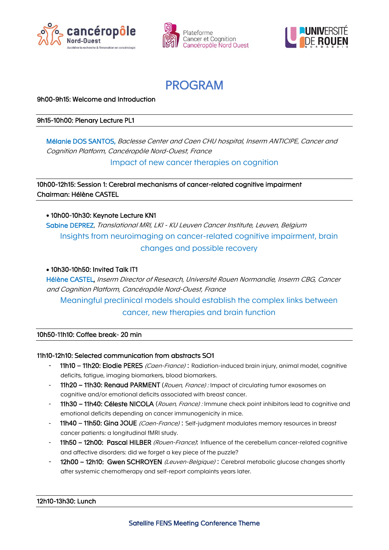







9h00-9h15: Welcome and Introduction

9h15-10h00: Plenary Lecture PL1

Mélanie DOS SANTOS, Baclesse Center and Caen CHU hospital, Inserm ANTICIPE, Cancer and Cognition Platform, Cancéropôle Nord-Ouest, France

Impact of new cancer therapies on cognition

10h00-12h15: Session 1: Cerebral mechanisms of cancer-related cognitive impairment Chairman: Hélène CASTEL

• 10h00-10h30: Keynote Lecture KN1

Sabine DEPREZ, Translational MRI, LKI - KU Leuven Cancer Institute, Leuven, Belgium Insights from neuroimaging on cancer-related cognitive impairment, brain changes and possible recovery

#### • 10h30-10h50: Invited Talk IT1

Hélène CASTEL, Inserm Director of Research, Université Rouen Normandie, Inserm CBG, Cancer and Cognition Platform, Cancéropôle Nord-Ouest, France Meaningful preclinical models should establish the complex links between

cancer, new therapies and brain function

#### 10h50-11h10: Coffee break- 20 min

#### 11h10-12h10: Selected communication from abstracts SO1

- 11h10 11h20: Elodie PERES (Caen-France): Radiation-induced brain injury, animal model, cognitive deficits, fatigue, imaging biomarkers, blood biomarkers.
- 11h20 11h30: Renaud PARMENT (Rouen, France) : Impact of circulating tumor exosomes on cognitive and/or emotional deficits associated with breast cancer.
- 11h30 11h40: Céleste NICOLA (Rouen, France) : Immune check point inhibitors lead to cognitive and emotional deficits depending on cancer immunogenicity in mice.
- 11h40 11h50: Gina JOUE (Caen-France) : Self-judgment modulates memory resources in breast cancer patients: a longitudinal fMRI study.
- 11h50 12h00: Pascal HILBER (Rouen-France): Influence of the cerebellum cancer-related cognitive and affective disorders: did we forget a key piece of the puzzle?
- 12h00 12h10: Gwen SCHROYEN (Leuven-Belgique) : Cerebral metabolic glucose changes shortly after systemic chemotherapy and self-report complaints years later.

#### 12h10-13h30: Lunch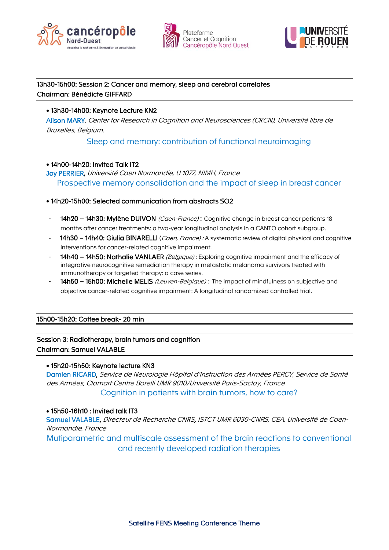





## 13h30-15h00: Session 2: Cancer and memory, sleep and cerebral correlates Chairman: Bénédicte GIFFARD

## • 13h30-14h00: Keynote Lecture KN2

Alison MARY, Center for Research in Cognition and Neurosciences (CRCN), Université libre de Bruxelles, Belgium.

Sleep and memory: contribution of functional neuroimaging

## • 14h00-14h20: Invited Talk IT2

Joy PERRIER, Université Caen Normandie, U 1077, NIMH, France Prospective memory consolidation and the impact of sleep in breast cancer

## • 14h20-15h00: Selected communication from abstracts SO2

- 14h20 14h30: Mylène DUIVON (Caen-France): Cognitive change in breast cancer patients 18 months after cancer treatments: a two-year longitudinal analysis in a CANTO cohort subgroup.
- 14h30 14h40: Giulia BINARELLI (Caen, France) : A systematic review of digital physical and cognitive interventions for cancer-related cognitive impairment.
- 14h40 14h50: Nathalie VANLAER (Belgique): Exploring cognitive impairment and the efficacy of integrative neurocognitive remediation therapy in metastatic melanoma survivors treated with immunotherapy or targeted therapy: a case series.
- 14h50 15h00: Michelle MELIS (Leuven-Belgique) : The impact of mindfulness on subjective and objective cancer-related cognitive impairment: A longitudinal randomized controlled trial.

15h00-15h20: Coffee break- 20 min

## Session 3: Radiotherapy, brain tumors and cognition Chairman: Samuel VALABLE

### • 15h20-15h50: Keynote lecture KN3

Damien RICARD, Service de Neurologie Hôpital d'Instruction des Armées PERCY, Service de Santé des Armées, Clamart Centre Borelli UMR 9010/Université Paris-Saclay, France Cognition in patients with brain tumors, how to care?

#### • 15h50-16h10 : Invited talk IT3

Samuel VALABLE, Directeur de Recherche CNRS, ISTCT UMR 6030-CNRS, CEA, Université de Caen-Normandie, France

Mutiparametric and multiscale assessment of the brain reactions to conventional and recently developed radiation therapies